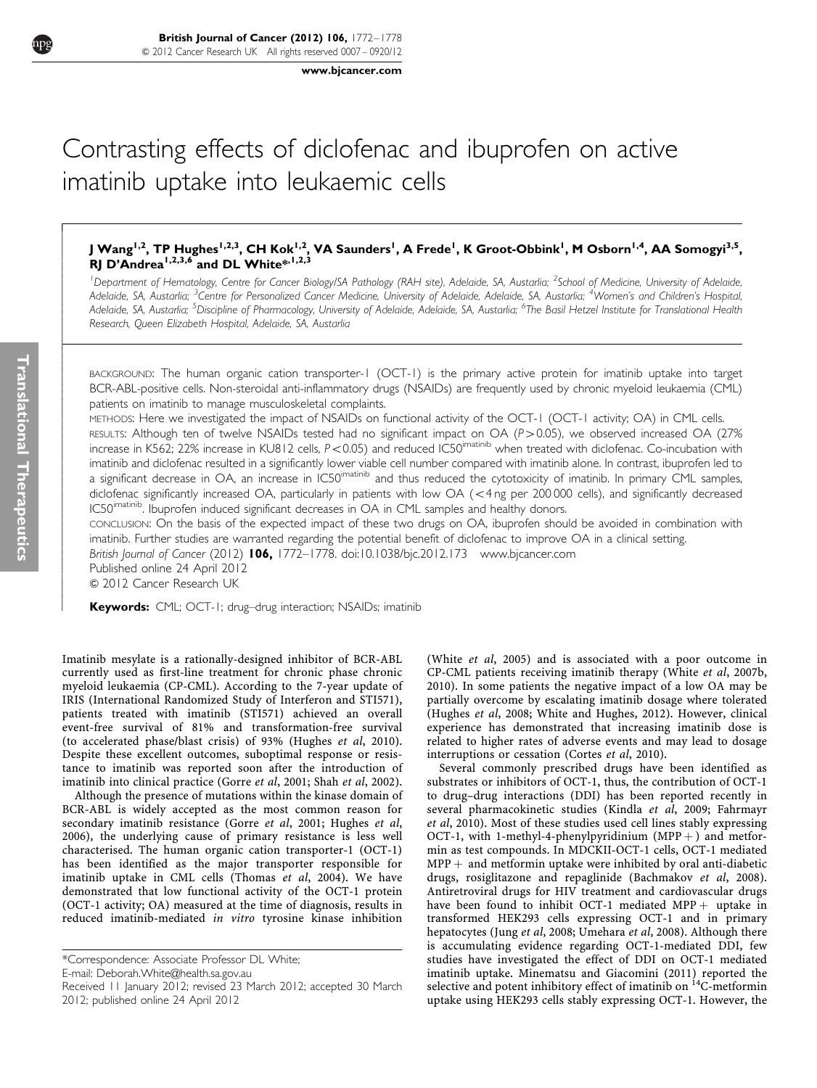[www.bjcancer.com](http://www.bjcancer.com)

# Contrasting effects of diclofenac and ibuprofen on active imatinib uptake into leukaemic cells

# J Wang<sup>1,2</sup>, TP Hughes<sup>1,2,3</sup>, CH Kok<sup>1,2</sup>, VA Saunders<sup>1</sup>, A Frede<sup>1</sup>, K Groot-Obbink<sup>1</sup>, M Osborn<sup>1,4</sup>, AA Somogyi<sup>3,5</sup>, RJ D'Andrea<sup>1,2,3,6</sup> and DL White\*,<sup>1,2,3</sup>

<sup>1</sup>Department of Hematology, Centre for Cancer Biology/SA Pathology (RAH site), Adelaide, SA, Austarlia; <sup>2</sup>School of Medicine, University of Adelaide, Adelaide, SA, Austarlia; <sup>3</sup>Centre for Personalized Cancer Medicine, University of Adelaide, Adelaide, SA, Austarlia; <sup>4</sup>Women's and Children's Hospital, Adelaide, SA, Austarlia; <sup>5</sup>Discipline of Pharmacology, University of Adelaide, Adelaide, SA, Austarlia; <sup>6</sup>The Basil Hetzel Institute for Translational Health Research, Queen Elizabeth Hospital, Adelaide, SA, Austarlia

BACKGROUND: The human organic cation transporter-1 (OCT-1) is the primary active protein for imatinib uptake into target BCR-ABL-positive cells. Non-steroidal anti-inflammatory drugs (NSAIDs) are frequently used by chronic myeloid leukaemia (CML) patients on imatinib to manage musculoskeletal complaints.

METHODS: Here we investigated the impact of NSAIDs on functional activity of the OCT-1 (OCT-1 activity; OA) in CML cells. RESULTS: Although ten of twelve NSAIDs tested had no significant impact on OA ( $P > 0.05$ ), we observed increased OA (27% increase in K562; 22% increase in KU812 cells, P<0.05) and reduced IC50<sup>imatinib</sup> when treated with diclofenac. Co-incubation with imatinib and diclofenac resulted in a significantly lower viable cell number compared with imatinib alone. In contrast, ibuprofen led to a significant decrease in OA, an increase in IC50<sup>imatinib</sup> and thus reduced the cytotoxicity of imatinib. In primary CML samples, diclofenac significantly increased OA, particularly in patients with low OA (<4 ng per 200 000 cells), and significantly decreased IC50<sup>imatinib</sup>. Ibuprofen induced significant decreases in OA in CML samples and healthy donors.

CONCLUSION: On the basis of the expected impact of these two drugs on OA, ibuprofen should be avoided in combination with imatinib. Further studies are warranted regarding the potential benefit of diclofenac to improve OA in a clinical setting.

British Journal of Cancer (2012) 106, 1772-1778. doi[:10.1038/bjc.2012.173](http://dx.doi.org/10.1038/bjc.2012.173)<www.bjcancer.com>

Published online 24 April 2012

 $©$  2012 Cancer Research UK

Keywords: CML; OCT-1; drug-drug interaction; NSAIDs; imatinib

Imatinib mesylate is a rationally-designed inhibitor of BCR-ABL currently used as first-line treatment for chronic phase chronic myeloid leukaemia (CP-CML). According to the 7-year update of IRIS (International Randomized Study of Interferon and STI571), patients treated with imatinib (STI571) achieved an overall event-free survival of 81% and transformation-free survival (to accelerated phase/blast crisis) of 93% (Hughes et al[, 2010\).](#page-6-0) [Despite these excellent outcomes, suboptimal response or resis](#page-6-0)[tance to imatinib was reported soon after the introduction of](#page-6-0) [imatinib into clinical practice \(Gorre](#page-6-0) et al, 2001; Shah et al, 2002).

Although the presence of mutations within the kinase domain of BCR-ABL is widely accepted as the most common reason for secondary imatinib resistance (Gorre et al[, 2001; Hughes](#page-6-0) et al, [2006\), the underlying cause of primary resistance is less well](#page-6-0) [characterised. The human organic cation transporter-1 \(OCT-1\)](#page-6-0) [has been identified as the major transporter responsible for](#page-6-0) [imatinib uptake in CML cells \(Thomas](#page-6-0) et al, 2004). We have [demonstrated that low functional activity of the OCT-1 protein](#page-6-0) [\(OCT-1 activity; OA\) measured at the time of diagnosis, results in](#page-6-0) [reduced imatinib-mediated](#page-6-0) in vitro tyrosine kinase inhibition

E-mail: [Deborah.White@health.sa.gov.au](mailto:Deborah.White@health.sa.gov.au)

(White et al[, 2005\) and is associated with a poor outcome in](#page-6-0) [CP-CML patients receiving imatinib therapy \(White](#page-6-0) et al, 2007b, [2010\). In some patients the negative impact of a low OA may be](#page-6-0) [partially overcome by escalating imatinib dosage where tolerated](#page-6-0) (Hughes et al[, 2008; White and Hughes, 2012\). However, clinical](#page-6-0) [experience has demonstrated that increasing imatinib dose is](#page-6-0) [related to higher rates of adverse events and may lead to dosage](#page-6-0) [interruptions or cessation \(Cortes](#page-5-0) et al, 2010).

Several commonly prescribed drugs have been identified as substrates or inhibitors of OCT-1, thus, the contribution of OCT-1 to drug–drug interactions (DDI) has been reported recently in several pharmacokinetic studies (Kindla et al[, 2009; Fahrmayr](#page-6-0) et al[, 2010\). Most of these studies used cell lines stably expressing](#page-6-0) [OCT-1, with 1-methyl-4-phenylpyridinium \(MPP](#page-6-0)  $+$  [\) and metfor](#page-6-0)[min as test compounds. In MDCKII-OCT-1 cells, OCT-1 mediated](#page-6-0)  $MPP +$  $MPP +$  [and metformin uptake were inhibited by oral anti-diabetic](#page-6-0) [drugs, rosiglitazone and repaglinide \(Bachmakov](#page-5-0) et al, 2008). [Antiretroviral drugs for HIV treatment and cardiovascular drugs](#page-5-0) [have been found to inhibit OCT-1 mediated MPP](#page-5-0)  $+$  [uptake in](#page-5-0) [transformed HEK293 cells expressing OCT-1 and in primary](#page-5-0) hepatocytes (Jung et al, 2008; Umehara et al[, 2008\). Although there](#page-6-0) [is accumulating evidence regarding OCT-1-mediated DDI, few](#page-6-0) [studies have investigated the effect of DDI on OCT-1 mediated](#page-6-0) [imatinib uptake. Minematsu and Giacomini \(2011\) reported the](#page-6-0) [selective](#page-6-0) [and](#page-6-0) [potent](#page-6-0) [inhibitory](#page-6-0) [effect](#page-6-0) [of](#page-6-0) [imatinib](#page-6-0) [on](#page-6-0) <sup>14</sup>[C-metformin](#page-6-0) [uptake using HEK293 cells stably expressing OCT-1. However, the](#page-6-0)

-- $\overline{\phantom{a}}$  $\overline{\phantom{a}}$  $\overline{\phantom{a}}$  $\overline{\phantom{a}}$  $\overline{\phantom{a}}$  $\overline{\phantom{a}}$  $\overline{\phantom{a}}$  $\overline{\phantom{a}}$  $\overline{\phantom{a}}$  $\overline{\phantom{a}}$  $\overline{\phantom{a}}$  $\overline{\phantom{a}}$  $\overline{\phantom{a}}$  $\overline{\phantom{a}}$  $\overline{\phantom{a}}$ - $\overline{ }$  $\overline{\phantom{a}}$  $\overline{\phantom{a}}$  $\overline{\phantom{a}}$  $\overline{\phantom{a}}$  $\overline{\phantom{a}}$  $\overline{\phantom{a}}$  $\overline{\phantom{a}}$  $\overline{\phantom{a}}$  $\overline{\phantom{a}}$  $\overline{\phantom{a}}$  $\overline{\phantom{a}}$  $\overline{\phantom{a}}$  $\overline{\phantom{a}}$  $\overline{\phantom{a}}$  $\overline{\phantom{a}}$  $\overline{\phantom{a}}$  $\overline{\phantom{a}}$  $\overline{\phantom{a}}$  $\overline{\phantom{a}}$  $\overline{\phantom{a}}$  $\overline{\phantom{a}}$  $\overline{\phantom{a}}$  $\overline{\phantom{a}}$  $\overline{\phantom{a}}$  $\overline{\phantom{a}}$  $\overline{\phantom{a}}$  $\overline{\phantom{a}}$  $\overline{\phantom{a}}$  $\overline{\phantom{a}}$  $\overline{\phantom{a}}$  $\overline{\phantom{a}}$  $\overline{\phantom{a}}$  $\overline{\phantom{a}}$  $\overline{\phantom{a}}$  $\overline{\phantom{a}}$ 

<sup>\*</sup>Correspondence: Associate Professor DL White;

Received 11 January 2012; revised 23 March 2012; accepted 30 March 2012; published online 24 April 2012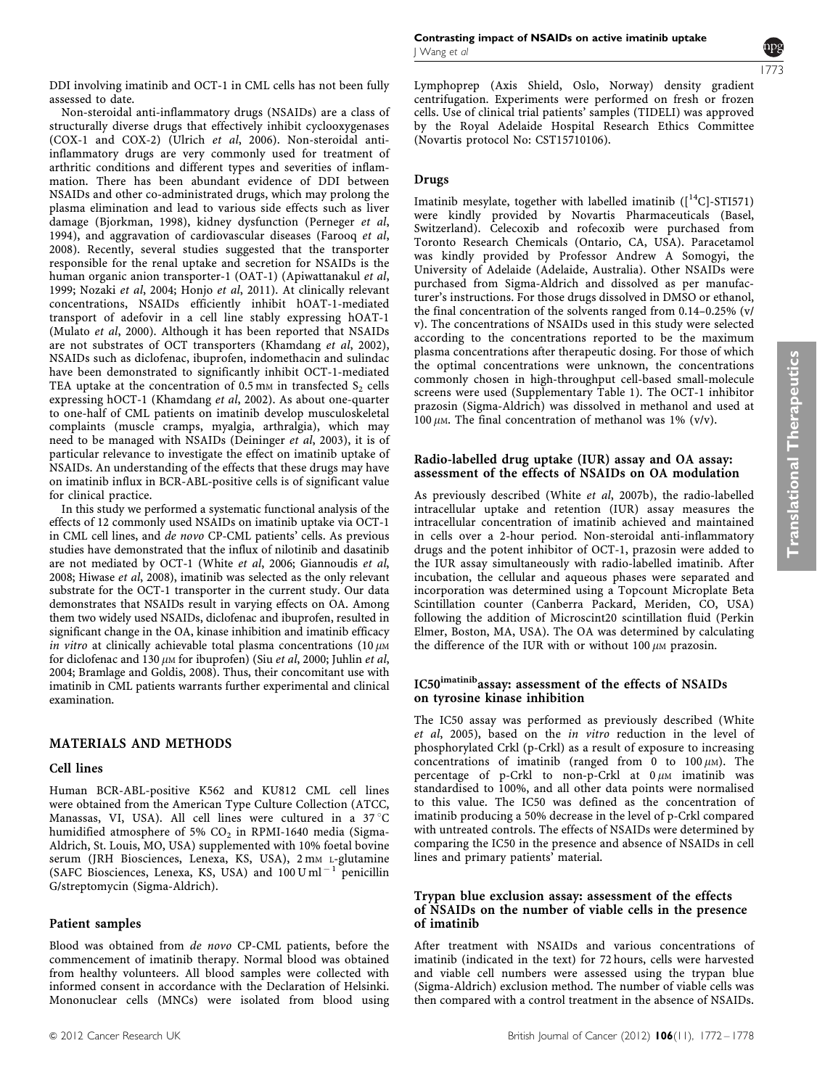1773

[DDI involving imatinib and OCT-1 in CML cells has not been fully](#page-6-0) [assessed to date.](#page-6-0)

Non-steroidal anti-inflammatory drugs (NSAIDs) are a class of structurally diverse drugs that effectively inhibit cyclooxygenases (COX-1 and COX-2) (Ulrich et al[, 2006\). Non-steroidal anti](#page-6-0)[inflammatory drugs are very commonly used for treatment of](#page-6-0) [arthritic conditions and different types and severities of inflam](#page-6-0)[mation. There has been abundant evidence of DDI between](#page-6-0) [NSAIDs and other co-administrated drugs, which may prolong the](#page-6-0) [plasma elimination and lead to various side effects such as liver](#page-6-0) [damage \(Bjorkman, 1998\), kidney dysfunction \(Perneger](#page-6-0) et al, [1994\), and aggravation of cardiovascular diseases \(Farooq](#page-6-0) et al, [2008\). Recently, several studies suggested that the transporter](#page-6-0) [responsible for the renal uptake and secretion for NSAIDs is the](#page-6-0) [human organic anion transporter-1 \(OAT-1\) \(Apiwattanakul](#page-5-0) et al, 1999; Nozaki et al, 2004; Honjo et al[, 2011\). At clinically relevant](#page-6-0) [concentrations, NSAIDs efficiently inhibit hOAT-1-mediated](#page-6-0) [transport of adefovir in a cell line stably expressing hOAT-1](#page-6-0) (Mulato et al[, 2000\). Although it has been reported that NSAIDs](#page-6-0) [are not substrates of OCT transporters \(Khamdang](#page-6-0) et al, 2002), [NSAIDs such as diclofenac, ibuprofen, indomethacin and sulindac](#page-6-0) [have been demonstrated to significantly inhibit OCT-1-mediated](#page-6-0) TEA uptake at the concentration of  $0.5 \text{ mm}$  in transfected  $S_2$  [cells](#page-6-0) [expressing hOCT-1 \(Khamdang](#page-6-0) et al, 2002). As about one-quarter [to one-half of CML patients on imatinib develop musculoskeletal](#page-6-0) [complaints \(muscle cramps, myalgia, arthralgia\), which may](#page-6-0) [need to be managed with NSAIDs \(Deininger](#page-6-0) et al, 2003), it is of [particular relevance to investigate the effect on imatinib uptake of](#page-6-0) [NSAIDs. An understanding of the effects that these drugs may have](#page-6-0) [on imatinib influx in BCR-ABL-positive cells is of significant value](#page-6-0) [for clinical practice.](#page-6-0)

In this study we performed a systematic functional analysis of the effects of 12 commonly used NSAIDs on imatinib uptake via OCT-1 in CML cell lines, and de novo CP-CML patients' cells. As previous studies have demonstrated that the influx of nilotinib and dasatinib are not mediated by OCT-1 (White et al[, 2006; Giannoudis](#page-6-0) et al, 2008; Hiwase et al[, 2008\), imatinib was selected as the only relevant](#page-6-0) [substrate for the OCT-1 transporter in the current study. Our data](#page-6-0) [demonstrates that NSAIDs result in varying effects on OA. Among](#page-6-0) [them two widely used NSAIDs, diclofenac and ibuprofen, resulted in](#page-6-0) [significant change in the OA, kinase inhibition and imatinib efficacy](#page-6-0) in vitro at clinically achievable total plasma concentrations  $(10 \mu)$ MM [for diclofenac and 130](#page-6-0)  $\mu$ m for ibuprofen) (Siu et al, 2000; Juhlin et al, [2004; Bramlage and Goldis, 2008\). Thus, their concomitant use with](#page-5-0) [imatinib in CML patients warrants further experimental and clinical](#page-5-0) [examination.](#page-5-0)

## MATERIALS AND METHODS

#### Cell lines

Human BCR-ABL-positive K562 and KU812 CML cell lines were obtained from the American Type Culture Collection (ATCC, Manassas, VI, USA). All cell lines were cultured in a 37  $^{\circ}$ C humidified atmosphere of 5%  $CO<sub>2</sub>$  in RPMI-1640 media (Sigma-Aldrich, St. Louis, MO, USA) supplemented with 10% foetal bovine serum (JRH Biosciences, Lenexa, KS, USA), 2 mm L-glutamine (SAFC Biosciences, Lenexa, KS, USA) and  $100 \text{ U ml}^{-1}$  penicillin G/streptomycin (Sigma-Aldrich).

## Patient samples

Blood was obtained from de novo CP-CML patients, before the commencement of imatinib therapy. Normal blood was obtained from healthy volunteers. All blood samples were collected with informed consent in accordance with the Declaration of Helsinki. Mononuclear cells (MNCs) were isolated from blood using Lymphoprep (Axis Shield, Oslo, Norway) density gradient centrifugation. Experiments were performed on fresh or frozen cells. Use of clinical trial patients' samples (TIDELI) was approved by the Royal Adelaide Hospital Research Ethics Committee (Novartis protocol No: CST15710106).

# Drugs

Imatinib mesylate, together with labelled imatinib  $($ [ $<sup>14</sup>C$ ]-STI571)</sup> were kindly provided by Novartis Pharmaceuticals (Basel, Switzerland). Celecoxib and rofecoxib were purchased from Toronto Research Chemicals (Ontario, CA, USA). Paracetamol was kindly provided by Professor Andrew A Somogyi, the University of Adelaide (Adelaide, Australia). Other NSAIDs were purchased from Sigma-Aldrich and dissolved as per manufacturer's instructions. For those drugs dissolved in DMSO or ethanol, the final concentration of the solvents ranged from 0.14–0.25% (v/ v). The concentrations of NSAIDs used in this study were selected according to the concentrations reported to be the maximum plasma concentrations after therapeutic dosing. For those of which the optimal concentrations were unknown, the concentrations commonly chosen in high-throughput cell-based small-molecule screens were used (Supplementary Table 1). The OCT-1 inhibitor prazosin (Sigma-Aldrich) was dissolved in methanol and used at 100  $\mu$ m. The final concentration of methanol was 1% (v/v).

#### Radio-labelled drug uptake (IUR) assay and OA assay: assessment of the effects of NSAIDs on OA modulation

As previously described (White et al[, 2007b\), the radio-labelled](#page-6-0) [intracellular uptake and retention \(IUR\) assay measures the](#page-6-0) [intracellular concentration of imatinib achieved and maintained](#page-6-0) [in cells over a 2-hour period. Non-steroidal anti-inflammatory](#page-6-0) [drugs and the potent inhibitor of OCT-1, prazosin were added to](#page-6-0) [the IUR assay simultaneously with radio-labelled imatinib. After](#page-6-0) [incubation, the cellular and aqueous phases were separated and](#page-6-0) [incorporation was determined using a Topcount Microplate Beta](#page-6-0) [Scintillation counter \(Canberra Packard, Meriden, CO, USA\)](#page-6-0) [following the addition of Microscint20 scintillation fluid \(Perkin](#page-6-0) [Elmer, Boston, MA, USA\). The OA was determined by calculating](#page-6-0) the difference of the IUR with or without  $100 \mu$ M prazosin.

# IC50imatinibassay: assessment of the effects of NSAIDs on tyrosine kinase inhibition

The IC50 assay was performed as previously described [\(White](#page-6-0) et al, 2005), based on the in vitro [reduction in the level of](#page-6-0) [phosphorylated Crkl \(p-Crkl\) as a result of exposure to increasing](#page-6-0) concentrations of imatinib (ranged from 0 to  $100 \mu$ M). The percentage of p-Crkl to non-p-Crkl at  $0 \mu$ M imatinib was [standardised to 100%, and all other data points were normalised](#page-6-0) [to this value. The IC50 was defined as the concentration of](#page-6-0) [imatinib producing a 50% decrease in the level of p-Crkl compared](#page-6-0) [with untreated controls. The effects of NSAIDs were determined by](#page-6-0) [comparing the IC50 in the presence and absence of NSAIDs in cell](#page-6-0) [lines and primary patients' material.](#page-6-0)

#### Trypan blue exclusion assay: assessment of the effects of NSAIDs on the number of viable cells in the presence of imatinib

After treatment with NSAIDs and various concentrations of imatinib (indicated in the text) for 72 hours, cells were harvested and viable cell numbers were assessed using the trypan blue (Sigma-Aldrich) exclusion method. The number of viable cells was then compared with a control treatment in the absence of NSAIDs.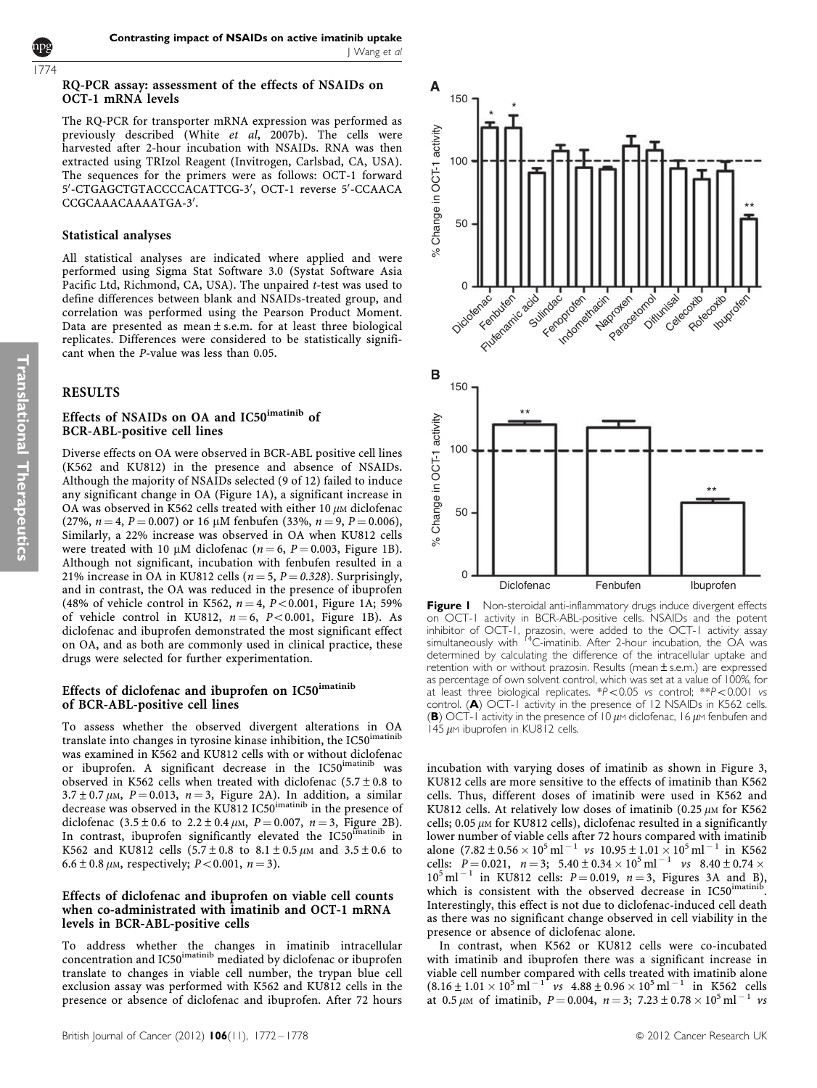#### RQ-PCR assay: assessment of the effects of NSAIDs on OCT-1 mRNA levels

The RQ-PCR for transporter mRNA expression was performed as previously described (White et al[, 2007b\). The cells were](#page-6-0) [harvested after 2-hour incubation with NSAIDs. RNA was then](#page-6-0) [extracted using TRIzol Reagent \(Invitrogen, Carlsbad, CA, USA\).](#page-6-0) [The sequences for the primers were as follows: OCT-1 forward](#page-6-0) [5](#page-6-0)'[-CTGAGCTGTACCCCACATTCG-3](#page-6-0)'[, OCT-1 reverse 5](#page-6-0)'[-CCAACA](#page-6-0) [CCGCAAACAAAATGA-3](#page-6-0)'[.](#page-6-0)

### Statistical analyses

All statistical analyses are indicated where applied and were performed using Sigma Stat Software 3.0 (Systat Software Asia Pacific Ltd, Richmond, CA, USA). The unpaired t-test was used to define differences between blank and NSAIDs-treated group, and correlation was performed using the Pearson Product Moment. Data are presented as mean  $\pm$  s.e.m. for at least three biological replicates. Differences were considered to be statistically significant when the P-value was less than 0.05.

# RESULTS

Translational

**Translational Therapeutics** 

Therapeutics

# Effects of NSAIDs on OA and IC50imatinib of BCR-ABL-positive cell lines

Diverse effects on OA were observed in BCR-ABL positive cell lines (K562 and KU812) in the presence and absence of NSAIDs. Although the majority of NSAIDs selected (9 of 12) failed to induce any significant change in OA (Figure 1A), a significant increase in OA was observed in K562 cells treated with either  $10 \mu$ M diclofenac (27%,  $n = 4$ ,  $P = 0.007$ ) or 16  $\mu$ M fenbufen (33%,  $n = 9$ ,  $P = 0.006$ ), Similarly, a 22% increase was observed in OA when KU812 cells were treated with 10  $\mu$ M diclofenac ( $n = 6$ ,  $P = 0.003$ , Figure 1B). Although not significant, incubation with fenbufen resulted in a 21% increase in OA in KU812 cells ( $n = 5$ ,  $P = 0.328$ ). Surprisingly, and in contrast, the OA was reduced in the presence of ibuprofen (48% of vehicle control in K562,  $n = 4$ , P<0.001, Figure 1A; 59% of vehicle control in KU812,  $n = 6$ ,  $P < 0.001$ , Figure 1B). As diclofenac and ibuprofen demonstrated the most significant effect on OA, and as both are commonly used in clinical practice, these drugs were selected for further experimentation.

# Effects of diclofenac and ibuprofen on IC50imatinib of BCR-ABL-positive cell lines

To assess whether the observed divergent alterations in OA translate into changes in tyrosine kinase inhibition, the IC50<sup>imatinib</sup> was examined in K562 and KU812 cells with or without diclofenac or ibuprofen. A significant decrease in the IC50<sup>imatinib</sup> was observed in K562 cells when treated with diclofenac  $(5.7 \pm 0.8 \text{ to}$  $3.7 \pm 0.7 \mu$ M,  $P = 0.013$ ,  $n = 3$ , [Figure 2A\). In addition, a similar](#page-3-0) [decrease](#page-3-0) [was](#page-3-0) [observed](#page-3-0) [in](#page-3-0) [the](#page-3-0) [KU812](#page-3-0) [IC50](#page-3-0)<sup>imatinib</sup> [in the presence of](#page-3-0) diclofenac  $(3.5 \pm 0.6 \text{ to } 2.2 \pm 0.4 \mu \text{M}, P = 0.007, n = 3, \text{ Figure 2B}).$  $(3.5 \pm 0.6 \text{ to } 2.2 \pm 0.4 \mu \text{M}, P = 0.007, n = 3, \text{ Figure 2B}).$  $(3.5 \pm 0.6 \text{ to } 2.2 \pm 0.4 \mu \text{M}, P = 0.007, n = 3, \text{ Figure 2B}).$ [In](#page-3-0) [contrast,](#page-3-0) [ibuprofen](#page-3-0) [significantly](#page-3-0) [elevated](#page-3-0) [the](#page-3-0) IC50<sup>imat[in](#page-3-0)ib</sup> in K562 and KU812 cells  $(5.7 \pm 0.8 \text{ to } 8.1 \pm 0.5 \mu \text{m}$  and  $3.5 \pm 0.6 \text{ to }$ 6.6 ± 0.8  $\mu$ [M, respectively;](#page-3-0) P<0.001, n = [3\).](#page-3-0)

#### Effects of diclofenac and ibuprofen on viable cell counts when co-administrated with imatinib and OCT-1 mRNA levels in BCR-ABL-positive cells

To address whether the changes in imatinib intracellular concentration and IC50<sup>imatinib</sup> mediated by diclofenac or ibuprofen translate to changes in viable cell number, the trypan blue cell exclusion assay was performed with K562 and KU812 cells in the presence or absence of diclofenac and ibuprofen. After 72 hours



Figure I Non-steroidal anti-inflammatory drugs induce divergent effects on OCT-1 activity in BCR-ABL-positive cells. NSAIDs and the potent inhibitor of OCT-1, prazosin, were added to the OCT-1 activity assay<br>simultaneously with <sup>14</sup>C-imatinib. After 2-hour incubation, the OA was determined by calculating the difference of the intracellular uptake and retention with or without prazosin. Results (mean±s.e.m.) are expressed as percentage of own solvent control, which was set at a value of 100%, for at least three biological replicates.  $^{*}P<0.05$  vs control;  $^{*}P<0.001$  vs control. (A) OCT-1 activity in the presence of 12 NSAIDs in K562 cells. (B) OCT-1 activity in the presence of 10  $\mu$ m diclofenac, 16  $\mu$ m fenbufen and  $145 \mu$ m ibuprofen in KU812 cells.

incubation with varying doses of imatinib as shown in [Figure 3,](#page-3-0) [KU812 cells are more sensitive to the effects of imatinib than K562](#page-3-0) [cells. Thus, different doses of imatinib were used in K562 and](#page-3-0) [KU812 cells. At relatively low doses of imatinib \(0.25](#page-3-0)  $\mu$ M for K562 cells;  $0.05 \mu M$  [for KU812 cells\), diclofenac resulted in a significantly](#page-3-0) [lower number of viable cells after 72 hours compared with imatinib](#page-3-0) alone  $(7.82 \pm 0.56 \times 10^5 \text{ ml}^{-1}$  $(7.82 \pm 0.56 \times 10^5 \text{ ml}^{-1}$  $(7.82 \pm 0.56 \times 10^5 \text{ ml}^{-1}$  $(7.82 \pm 0.56 \times 10^5 \text{ ml}^{-1}$  $(7.82 \pm 0.56 \times 10^5 \text{ ml}^{-1}$  vs  $10.95 \pm 1.01 \times 10^5 \text{ ml}^{-1}$  $10.95 \pm 1.01 \times 10^5 \text{ ml}^{-1}$  $10.95 \pm 1.01 \times 10^5 \text{ ml}^{-1}$  $10.95 \pm 1.01 \times 10^5 \text{ ml}^{-1}$  [in K562](#page-3-0) [cells:](#page-3-0)  $P = 0.021$  $P = 0.021$ ,  $n = 3$ ;  $5.40 \pm 0.34 \times 10^5 \text{ ml}^{-1}$  $5.40 \pm 0.34 \times 10^5 \text{ ml}^{-1}$  $5.40 \pm 0.34 \times 10^5 \text{ ml}^{-1}$  vs  $8.40 \pm 0.74 \times$  $8.40 \pm 0.74 \times$  $10^5$  $10^5$  [ml](#page-3-0)<sup>-1</sup> [in KU812 cells:](#page-3-0) P = [0.019,](#page-3-0) n = [3, Figures 3A and B\),](#page-3-0) [which](#page-3-0) [is](#page-3-0) [consistent](#page-3-0) [with](#page-3-0) [the](#page-3-0) [observed](#page-3-0) [decrease](#page-3-0) [in](#page-3-0) [IC50](#page-3-0)<sup>imatinib</sup>. [Interestingly, this effect is not due to diclofenac-induced cell death](#page-3-0) [as there was no significant change observed in cell viability in the](#page-3-0) [presence or absence of diclofenac alone.](#page-3-0)

In contrast, when K562 or KU812 cells were co-incubated with imatinib and ibuprofen there was a significant increase in viable cell number compared with cells treated with imatinib alone  $(8.16 \pm 1.01 \times 10^5 \,\text{ml}^{-1} \text{ vs } 4.88 \pm 0.96 \times 10^5 \,\text{ml}^{-1} \text{ in } K562 \text{ cells}$ at 0.5  $\mu$ M of imatinib, P = 0.004, n = 3; 7.23 ± 0.78 × 10<sup>5</sup> ml<sup>-1</sup> vs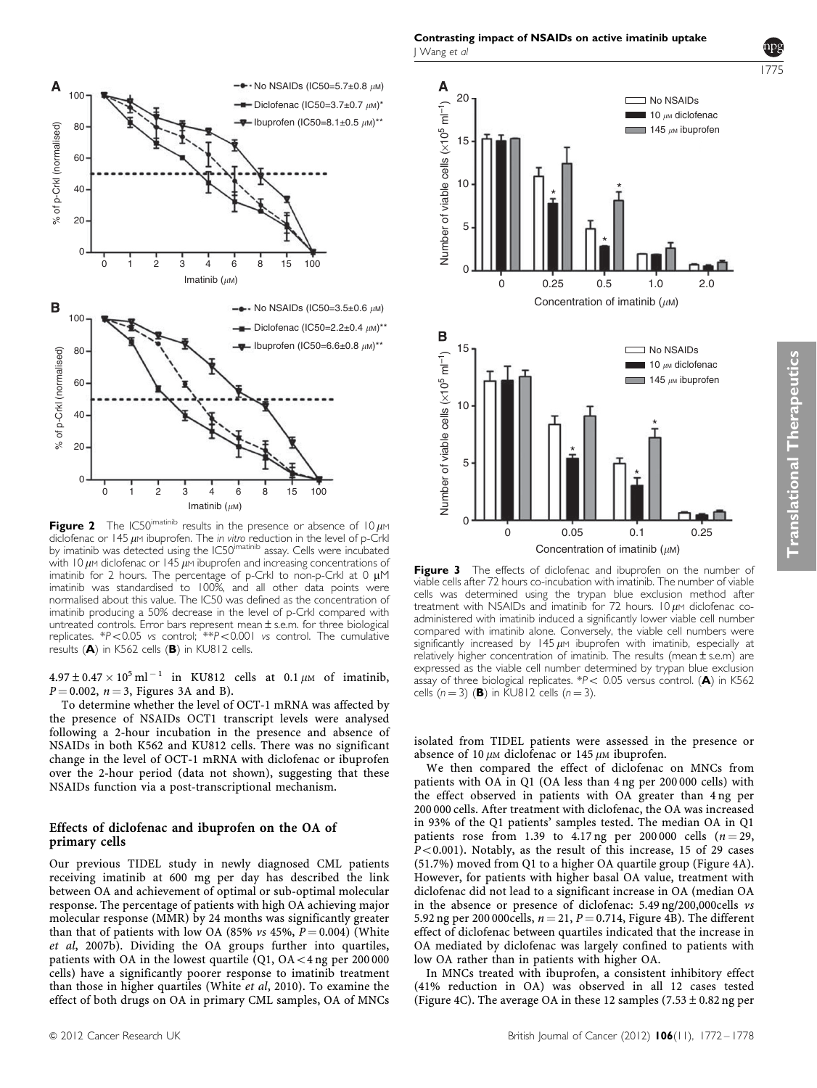<span id="page-3-0"></span>

**Figure 2** The IC50<sup>imatinib</sup> results in the presence or absence of  $10 \mu$ M diclofenac or 145  $\mu$ m ibuprofen. The *in vitro* reduction in the level of p-Crkl<br>by imatinib was detected using the IC50<sup>imatinib</sup> assay. Cells were incubated with 10  $\mu$ m diclofenac or 145  $\mu$ m ibuprofen and increasing concentrations of imatinib for 2 hours. The percentage of p-Crkl to non-p-Crkl at  $0 \mu$ M imatinib was standardised to 100%, and all other data points were normalised about this value. The IC50 was defined as the concentration of imatinib producing a 50% decrease in the level of p-Crkl compared with untreated controls. Error bars represent mean±s.e.m. for three biological replicates.  $*P<0.05$  vs control;  $*P<0.001$  vs control. The cumulative results (A) in K562 cells (B) in KU812 cells.

 $4.97 \pm 0.47 \times 10^5 \text{ ml}^{-1}$  in KU812 cells at 0.1  $\mu$ M of imatinib,  $P = 0.002$ ,  $n = 3$ , Figures 3A and B).

To determine whether the level of OCT-1 mRNA was affected by the presence of NSAIDs OCT1 transcript levels were analysed following a 2-hour incubation in the presence and absence of NSAIDs in both K562 and KU812 cells. There was no significant change in the level of OCT-1 mRNA with diclofenac or ibuprofen over the 2-hour period (data not shown), suggesting that these NSAIDs function via a post-transcriptional mechanism.

## Effects of diclofenac and ibuprofen on the OA of primary cells

Our previous TIDEL study in newly diagnosed CML patients receiving imatinib at 600 mg per day has described the link between OA and achievement of optimal or sub-optimal molecular response. The percentage of patients with high OA achieving major molecular response (MMR) by 24 months was significantly greater than that of patients with low OA (85%  $v_s$  45%,  $P = 0.004$ ) [\(White](#page-6-0) et al[, 2007b\). Dividing the OA groups further into quartiles,](#page-6-0) patients with OA in the lowest quartile  $(Q1, OA < 4$  ng per 200 000 [cells\) have a significantly poorer response to imatinib treatment](#page-6-0) [than those in higher quartiles \(White](#page-6-0) et al, 2010). To examine the [effect of both drugs on OA in primary CML samples, OA of MNCs](#page-6-0)





Figure 3 The effects of diclofenac and ibuprofen on the number of viable cells after 72 hours co-incubation with imatinib. The number of viable cells was determined using the trypan blue exclusion method after treatment with NSAIDs and imatinib for 72 hours. 10  $\mu$ m diclofenac coadministered with imatinib induced a significantly lower viable cell number compared with imatinib alone. Conversely, the viable cell numbers were significantly increased by  $145 \mu m$  ibuprofen with imatinib, especially at relatively higher concentration of imatinib. The results (mean±s.e.m) are expressed as the viable cell number determined by trypan blue exclusion assay of three biological replicates.  $P < 0.05$  versus control. (A) in K562 cells  $(n = 3)$  (B) in KU812 cells  $(n = 3)$ .

[isolated from TIDEL patients were assessed in the presence or](#page-6-0) absence of 10  $\mu$ M [diclofenac or 145](#page-6-0)  $\mu$ M ibuprofen.

We then compared the effect of diclofenac on MNCs from patients with OA in Q1 (OA less than 4 ng per 200 000 cells) with the effect observed in patients with OA greater than 4 ng per 200 000 cells. After treatment with diclofenac, the OA was increased in 93% of the Q1 patients' samples tested. The median OA in Q1 patients rose from 1.39 to 4.17 ng per 200 000 cells  $(n=29,$  $P<0.001$ ). Notably, as the result of this increase, 15 of 29 cases (51.7%) moved from Q1 to a higher OA quartile group [\(Figure 4A\).](#page-4-0) [However, for patients with higher basal OA value, treatment with](#page-4-0) [diclofenac did not lead to a significant increase in OA \(median OA](#page-4-0) [in the absence or presence of diclofenac: 5.49 ng/200,000cells](#page-4-0) vs [5.92 ng per 200 000cells,](#page-4-0)  $n = 21$ ,  $P = 0.714$ , Figure 4B). The different [effect of diclofenac between quartiles indicated that the increase in](#page-4-0) [OA mediated by diclofenac was largely confined to patients with](#page-4-0) [low OA rather than in patients with higher OA.](#page-4-0)

In MNCs treated with ibuprofen, a consistent inhibitory effect (41% reduction in OA) was observed in all 12 cases tested (Figure 4C). The average OA in these 12 samples  $(7.53 \pm 0.82$  ng per

1775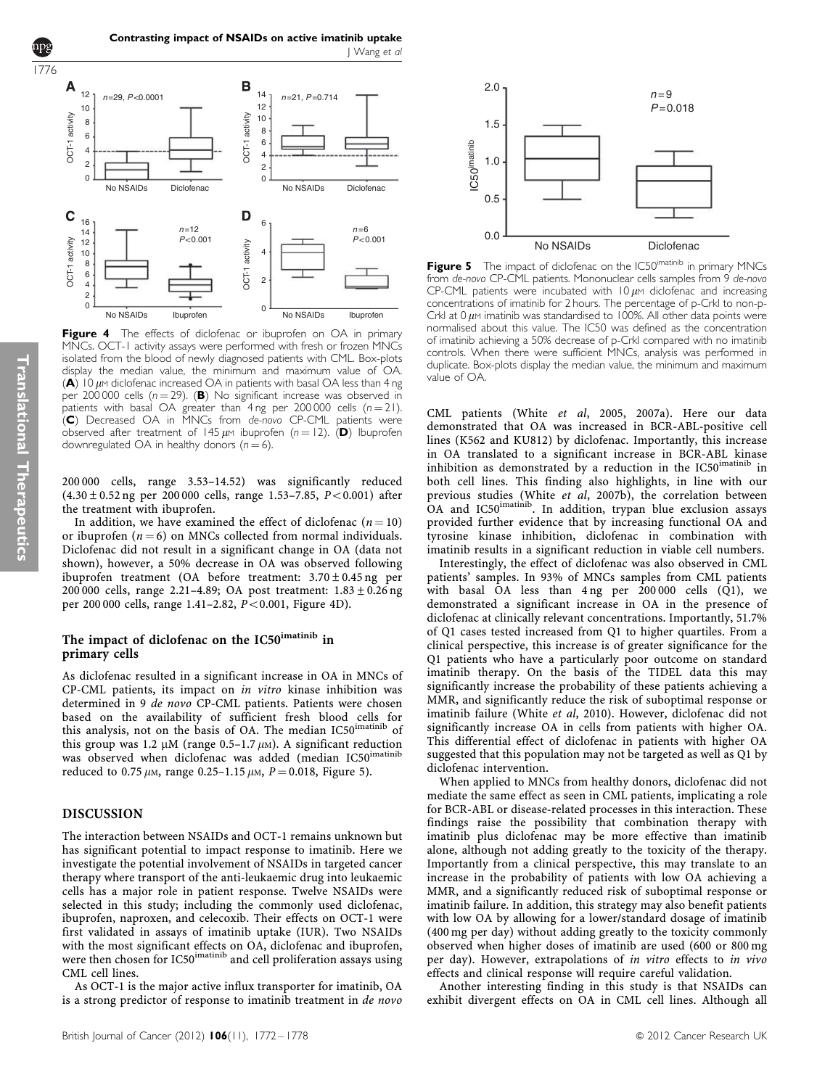<span id="page-4-0"></span>

Contrasting impact of NSAIDs on active imatinib uptake

Figure 4 The effects of diclofenac or ibuprofen on OA in primary MNCs. OCT-1 activity assays were performed with fresh or frozen MNCs isolated from the blood of newly diagnosed patients with CML. Box-plots display the median value, the minimum and maximum value of OA.  $(A)$  10  $\mu$ m diclofenac increased OA in patients with basal OA less than 4 ng per 200 000 cells ( $n = 29$ ). (B) No significant increase was observed in patients with basal OA greater than  $4 \text{ ng per } 200\,000$  cells  $(n = 21)$ . (C) Decreased OA in MNCs from de-novo CP-CML patients were observed after treatment of 145  $\mu$ m ibuprofen (n = 12). (D) Ibuprofen downregulated OA in healthy donors  $(n = 6)$ .

200 000 cells, range 3.53–14.52) was significantly reduced  $(4.30 \pm 0.52$  ng per 200 000 cells, range 1.53–7.85, P<0.001) after the treatment with ibuprofen.

In addition, we have examined the effect of diclofenac  $(n = 10)$ or ibuprofen ( $n = 6$ ) on MNCs collected from normal individuals. Diclofenac did not result in a significant change in OA (data not shown), however, a 50% decrease in OA was observed following ibuprofen treatment (OA before treatment: 3.70±0.45 ng per 200 000 cells, range 2.21–4.89; OA post treatment: 1.83±0.26 ng per 200 000 cells, range 1.41-2.82,  $P < 0.001$ , Figure 4D).

# The impact of diclofenac on the IC50<sup>imatinib</sup> in primary cells

As diclofenac resulted in a significant increase in OA in MNCs of CP-CML patients, its impact on in vitro kinase inhibition was determined in 9 de novo CP-CML patients. Patients were chosen based on the availability of sufficient fresh blood cells for this analysis, not on the basis of OA. The median IC50<sup>imatinib</sup> of this group was 1.2  $\mu$ M (range 0.5–1.7  $\mu$ M). A significant reduction was observed when diclofenac was added (median IC50imatinib reduced to 0.75  $\mu$ M, range 0.25-1.15  $\mu$ M,  $P = 0.018$ , Figure 5).

## DISCUSSION

The interaction between NSAIDs and OCT-1 remains unknown but has significant potential to impact response to imatinib. Here we investigate the potential involvement of NSAIDs in targeted cancer therapy where transport of the anti-leukaemic drug into leukaemic cells has a major role in patient response. Twelve NSAIDs were selected in this study; including the commonly used diclofenac, ibuprofen, naproxen, and celecoxib. Their effects on OCT-1 were first validated in assays of imatinib uptake (IUR). Two NSAIDs with the most significant effects on OA, diclofenac and ibuprofen, were then chosen for IC50<sup>imatinib</sup> and cell proliferation assays using CML cell lines.

As OCT-1 is the major active influx transporter for imatinib, OA is a strong predictor of response to imatinib treatment in de novo



Figure 5 The impact of diclofenac on the IC50<sup>imatinib</sup> in primary MNCs from de-novo CP-CML patients. Mononuclear cells samples from 9 de-novo CP-CML patients were incubated with  $10 \mu$ M diclofenac and increasing concentrations of imatinib for 2 hours. The percentage of p-Crkl to non-p-Crkl at  $0 \mu$ M imatinib was standardised to 100%. All other data points were normalised about this value. The IC50 was defined as the concentration of imatinib achieving a 50% decrease of p-Crkl compared with no imatinib controls. When there were sufficient MNCs, analysis was performed in duplicate. Box-plots display the median value, the minimum and maximum value of OA.

CML patients (White et al[, 2005, 2007a\). Here our data](#page-6-0) [demonstrated that OA was increased in BCR-ABL-positive cell](#page-6-0) [lines \(K562 and KU812\) by diclofenac. Importantly, this increase](#page-6-0) [in OA translated to a significant increase in BCR-ABL kinase](#page-6-0) [inhibition](#page-6-0) [as](#page-6-0) [demonstrated](#page-6-0) [by](#page-6-0) [a](#page-6-0) [reduction](#page-6-0) [in](#page-6-0) [the](#page-6-0) [IC50](#page-6-0)<sup>imatinib</sup> in [both cell lines. This finding also highlights, in line with our](#page-6-0) previous studies (White et al[, 2007b\), the correlation between](#page-6-0) [OA](#page-6-0) [and](#page-6-0) [IC50](#page-6-0)imatini[b. In addition, trypan blue exclusion assays](#page-6-0) [provided further evidence that by increasing functional OA and](#page-6-0) [tyrosine kinase inhibition, diclofenac in combination with](#page-6-0) [imatinib results in a significant reduction in viable cell numbers.](#page-6-0)

Interestingly, the effect of diclofenac was also observed in CML patients' samples. In 93% of MNCs samples from CML patients with basal OA less than 4 ng per 200 000 cells (Q1), we demonstrated a significant increase in OA in the presence of diclofenac at clinically relevant concentrations. Importantly, 51.7% of Q1 cases tested increased from Q1 to higher quartiles. From a clinical perspective, this increase is of greater significance for the Q1 patients who have a particularly poor outcome on standard imatinib therapy. On the basis of the TIDEL data this may significantly increase the probability of these patients achieving a MMR, and significantly reduce the risk of suboptimal response or imatinib failure (White et al[, 2010\). However, diclofenac did not](#page-6-0) [significantly increase OA in cells from patients with higher OA.](#page-6-0) [This differential effect of diclofenac in patients with higher OA](#page-6-0) [suggested that this population may not be targeted as well as Q1 by](#page-6-0) [diclofenac intervention.](#page-6-0)

When applied to MNCs from healthy donors, diclofenac did not mediate the same effect as seen in CML patients, implicating a role for BCR-ABL or disease-related processes in this interaction. These findings raise the possibility that combination therapy with imatinib plus diclofenac may be more effective than imatinib alone, although not adding greatly to the toxicity of the therapy. Importantly from a clinical perspective, this may translate to an increase in the probability of patients with low OA achieving a MMR, and a significantly reduced risk of suboptimal response or imatinib failure. In addition, this strategy may also benefit patients with low OA by allowing for a lower/standard dosage of imatinib (400 mg per day) without adding greatly to the toxicity commonly observed when higher doses of imatinib are used (600 or 800 mg per day). However, extrapolations of in vitro effects to in vivo effects and clinical response will require careful validation.

Another interesting finding in this study is that NSAIDs can exhibit divergent effects on OA in CML cell lines. Although all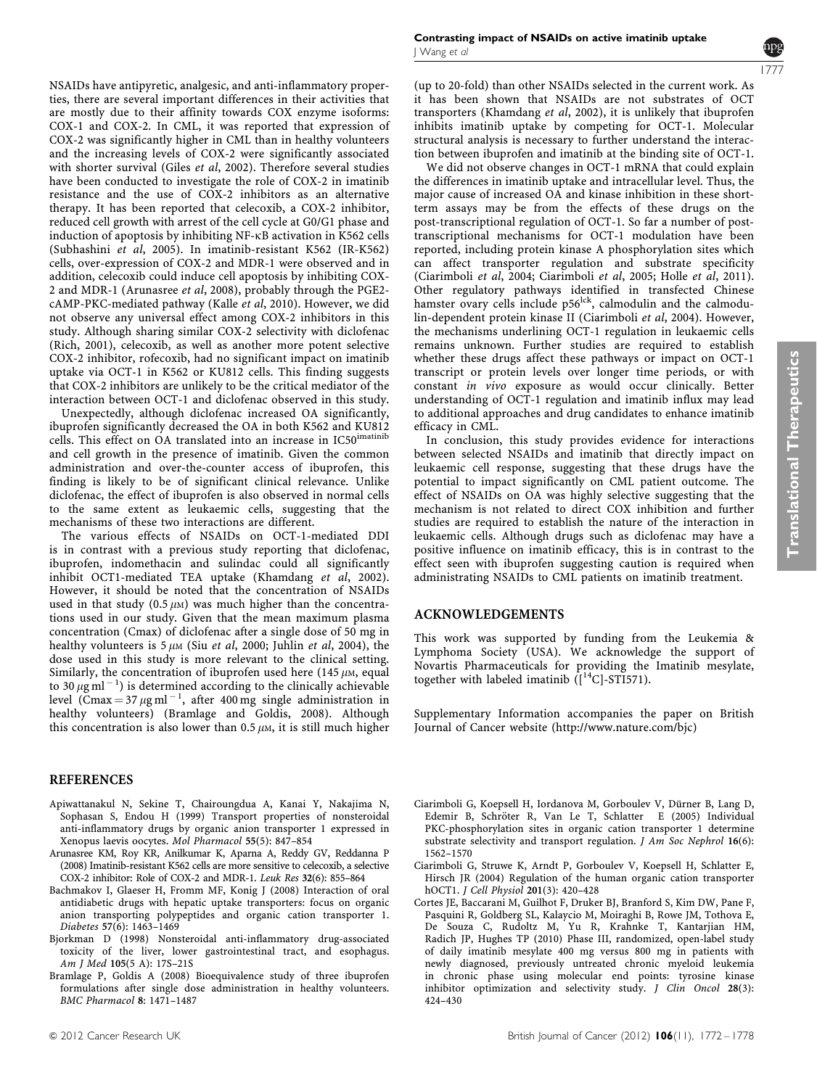<span id="page-5-0"></span>NSAIDs have antipyretic, analgesic, and anti-inflammatory properties, there are several important differences in their activities that are mostly due to their affinity towards COX enzyme isoforms: COX-1 and COX-2. In CML, it was reported that expression of COX-2 was significantly higher in CML than in healthy volunteers and the increasing levels of COX-2 were significantly associated with shorter survival (Giles et al[, 2002\). Therefore several studies](#page-6-0) [have been conducted to investigate the role of COX-2 in imatinib](#page-6-0) [resistance and the use of COX-2 inhibitors as an alternative](#page-6-0) [therapy. It has been reported that celecoxib, a COX-2 inhibitor,](#page-6-0) [reduced cell growth with arrest of the cell cycle at G0/G1 phase and](#page-6-0) [induction of apoptosis by inhibiting NF-](#page-6-0)kB activation in K562 cells (Subhashini et al[, 2005\). In imatinib-resistant K562 \(IR-K562\)](#page-6-0) [cells, over-expression of COX-2 and MDR-1 were observed and in](#page-6-0) [addition, celecoxib could induce cell apoptosis by inhibiting COX-](#page-6-0)2 and MDR-1 (Arunasree et al, 2008), probably through the PGE2 [cAMP-PKC-mediated pathway \(Kalle](#page-6-0) et al, 2010). However, we did [not observe any universal effect among COX-2 inhibitors in this](#page-6-0) [study. Although sharing similar COX-2 selectivity with diclofenac](#page-6-0) [\(Rich, 2001\), celecoxib, as well as another more potent selective](#page-6-0) [COX-2 inhibitor, rofecoxib, had no significant impact on imatinib](#page-6-0) [uptake via OCT-1 in K562 or KU812 cells. This finding suggests](#page-6-0) [that COX-2 inhibitors are unlikely to be the critical mediator of the](#page-6-0) [interaction between OCT-1 and diclofenac observed in this study.](#page-6-0)

Unexpectedly, although diclofenac increased OA significantly, ibuprofen significantly decreased the OA in both K562 and KU812 cells. This effect on OA translated into an increase in IC50<sup>imatinib</sup> and cell growth in the presence of imatinib. Given the common administration and over-the-counter access of ibuprofen, this finding is likely to be of significant clinical relevance. Unlike diclofenac, the effect of ibuprofen is also observed in normal cells to the same extent as leukaemic cells, suggesting that the mechanisms of these two interactions are different.

The various effects of NSAIDs on OCT-1-mediated DDI is in contrast with a previous study reporting that diclofenac, ibuprofen, indomethacin and sulindac could all significantly inhibit OCT1-mediated TEA uptake ([Khamdang](#page-6-0) et al, 2002). [However, it should be noted that the concentration of NSAIDs](#page-6-0) used in that study (0.5  $\mu$ [M\) was much higher than the concentra](#page-6-0)[tions used in our study. Given that the mean maximum plasma](#page-6-0) [concentration \(Cmax\) of diclofenac after a single dose of 50 mg in](#page-6-0) healthy volunteers is  $5 \mu M$  (Siu et al, 2000; Juhlin et al, 2004), the [dose used in this study is more relevant to the clinical setting.](#page-6-0) Similarly, the concentration of ibuprofen used here  $(145 \mu M,$  equal to 30  $\mu$ g ml<sup>-[1](#page-6-0)</sup>[\) is determined according to the clinically achievable](#page-6-0) level  $(\text{Cmax} = 37 \,\mu\text{g m} \text{m}^{-1})$  $(\text{Cmax} = 37 \,\mu\text{g m} \text{m}^{-1})$  $(\text{Cmax} = 37 \,\mu\text{g m} \text{m}^{-1})$ [, after 400 mg single administration in](#page-6-0) healthy volunteers) (Bramlage and Goldis, 2008). Although this concentration is also lower than  $0.5 \mu$ M, it is still much higher

#### REFERENCES

- Apiwattanakul N, Sekine T, Chairoungdua A, Kanai Y, Nakajima N, Sophasan S, Endou H (1999) Transport properties of nonsteroidal anti-inflammatory drugs by organic anion transporter 1 expressed in Xenopus laevis oocytes. Mol Pharmacol 55(5): 847–854
- Arunasree KM, Roy KR, Anilkumar K, Aparna A, Reddy GV, Reddanna P (2008) Imatinib-resistant K562 cells are more sensitive to celecoxib, a selective COX-2 inhibitor: Role of COX-2 and MDR-1. Leuk Res 32(6): 855–864
- Bachmakov I, Glaeser H, Fromm MF, Konig J (2008) Interaction of oral antidiabetic drugs with hepatic uptake transporters: focus on organic anion transporting polypeptides and organic cation transporter 1. Diabetes 57(6): 1463–1469
- Bjorkman D (1998) Nonsteroidal anti-inflammatory drug-associated toxicity of the liver, lower gastrointestinal tract, and esophagus. Am J Med 105(5 A): 17S–21S
- Bramlage P, Goldis A (2008) Bioequivalence study of three ibuprofen formulations after single dose administration in healthy volunteers. BMC Pharmacol 8: 1471–1487

(up to 20-fold) than other NSAIDs selected in the current work. As it has been shown that NSAIDs are not substrates of OCT transporters (Khamdang et al[, 2002\), it is unlikely that ibuprofen](#page-6-0) [inhibits imatinib uptake by competing for OCT-1. Molecular](#page-6-0) [structural analysis is necessary to further understand the interac](#page-6-0)[tion between ibuprofen and imatinib at the binding site of OCT-1.](#page-6-0)

We did not observe changes in OCT-1 mRNA that could explain the differences in imatinib uptake and intracellular level. Thus, the major cause of increased OA and kinase inhibition in these shortterm assays may be from the effects of these drugs on the post-transcriptional regulation of OCT-1. So far a number of posttranscriptional mechanisms for OCT-1 modulation have been reported, including protein kinase A phosphorylation sites which can affect transporter regulation and substrate specificity (Ciarimboli et al[, 2004; Ciarimboli](#page-6-0) et al, 2005; Holle et al, 2011). [Other regulatory pathways identified in transfected Chinese](#page-6-0) [hamster](#page-6-0) [ovary](#page-6-0) [cells](#page-6-0) [include](#page-6-0) [p56](#page-6-0)<sup>lck</sup>, calmodulin and the calmodulin-dependent protein kinase II (Ciarimboli et al, 2004). However, the mechanisms underlining OCT-1 regulation in leukaemic cells remains unknown. Further studies are required to establish whether these drugs affect these pathways or impact on OCT-1 transcript or protein levels over longer time periods, or with constant in vivo exposure as would occur clinically. Better understanding of OCT-1 regulation and imatinib influx may lead to additional approaches and drug candidates to enhance imatinib efficacy in CML.

In conclusion, this study provides evidence for interactions between selected NSAIDs and imatinib that directly impact on leukaemic cell response, suggesting that these drugs have the potential to impact significantly on CML patient outcome. The effect of NSAIDs on OA was highly selective suggesting that the mechanism is not related to direct COX inhibition and further studies are required to establish the nature of the interaction in leukaemic cells. Although drugs such as diclofenac may have a positive influence on imatinib efficacy, this is in contrast to the effect seen with ibuprofen suggesting caution is required when administrating NSAIDs to CML patients on imatinib treatment.

#### ACKNOWLEDGEMENTS

This work was supported by funding from the Leukemia & Lymphoma Society (USA). We acknowledge the support of Novartis Pharmaceuticals for providing the Imatinib mesylate, together with labeled imatinib  $($ [<sup>14</sup>C]-STI571).

Supplementary Information accompanies the paper on British Journal of Cancer website [\(http://www.nature.com/bjc](http://www.nature.com/bjc))

- Ciarimboli G, Koepsell H, Iordanova M, Gorboulev V, Dürner B, Lang D, Edemir B, Schröter R, Van Le T, Schlatter E (2005) Individual PKC-phosphorylation sites in organic cation transporter 1 determine substrate selectivity and transport regulation. *J Am Soc Nephrol* 16(6): 1562–1570
- Ciarimboli G, Struwe K, Arndt P, Gorboulev V, Koepsell H, Schlatter E, Hirsch JR (2004) Regulation of the human organic cation transporter hOCT1. J Cell Physiol 201(3): 420–428
- Cortes JE, Baccarani M, Guilhot F, Druker BJ, Branford S, Kim DW, Pane F, Pasquini R, Goldberg SL, Kalaycio M, Moiraghi B, Rowe JM, Tothova E, De Souza C, Rudoltz M, Yu R, Krahnke T, Kantarjian HM, Radich JP, Hughes TP (2010) Phase III, randomized, open-label study of daily imatinib mesylate 400 mg versus 800 mg in patients with newly diagnosed, previously untreated chronic myeloid leukemia in chronic phase using molecular end points: tyrosine kinase inhibitor optimization and selectivity study. J Clin Oncol 28(3): 424–430

1777